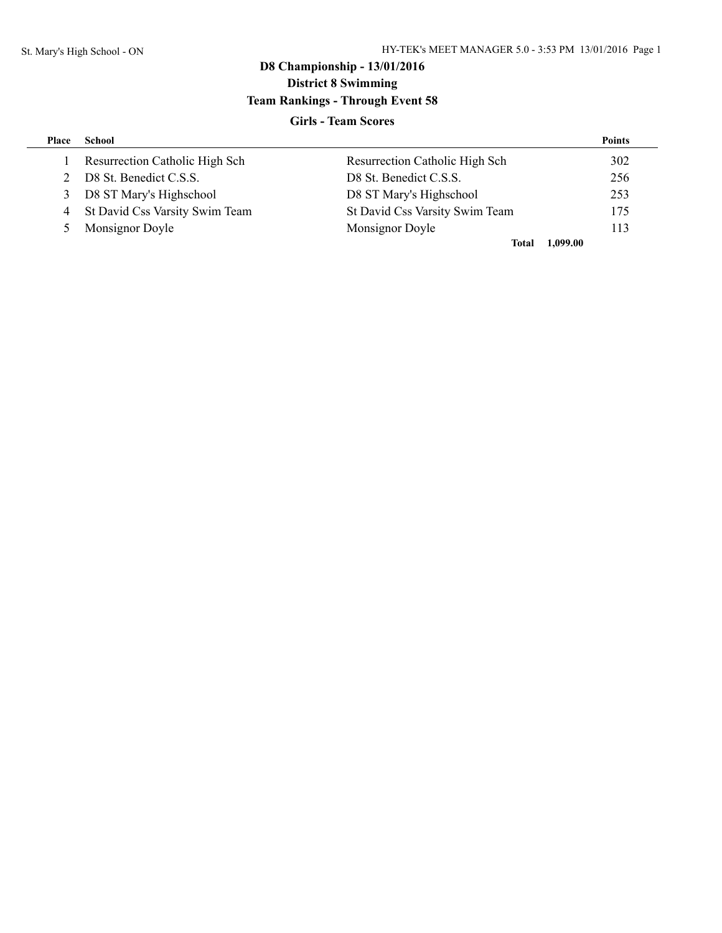## **Girls - Team Scores**

| Place | School                           |                                | <b>Points</b> |
|-------|----------------------------------|--------------------------------|---------------|
|       | Resurrection Catholic High Sch   | Resurrection Catholic High Sch | 302           |
| 2     | D8 St. Benedict C.S.S.           | D8 St. Benedict C.S.S.         | 256           |
| 3     | D8 ST Mary's Highschool          | D8 ST Mary's Highschool        | 253           |
|       | 4 St David Css Varsity Swim Team | St David Css Varsity Swim Team | 175           |
| $5 -$ | Monsignor Doyle                  | Monsignor Doyle                | 113           |
|       |                                  | 1.099.00<br>Total              |               |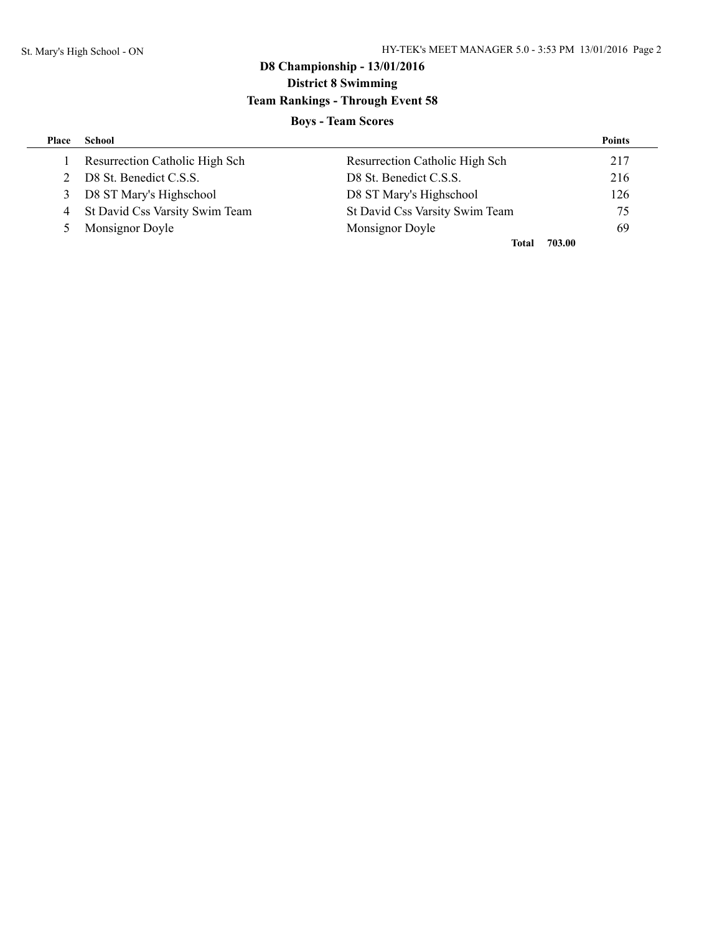## **Boys - Team Scores**

| Place | School                           |                                | <b>Points</b> |
|-------|----------------------------------|--------------------------------|---------------|
|       | Resurrection Catholic High Sch   | Resurrection Catholic High Sch | 217           |
| 2     | D8 St. Benedict C.S.S.           | D8 St. Benedict C.S.S.         | 216           |
| 3     | D8 ST Mary's Highschool          | D8 ST Mary's Highschool        | 126           |
|       | 4 St David Css Varsity Swim Team | St David Css Varsity Swim Team | 75            |
| $5 -$ | Monsignor Doyle                  | Monsignor Doyle                | 69            |
|       |                                  | 703.00<br>Total                |               |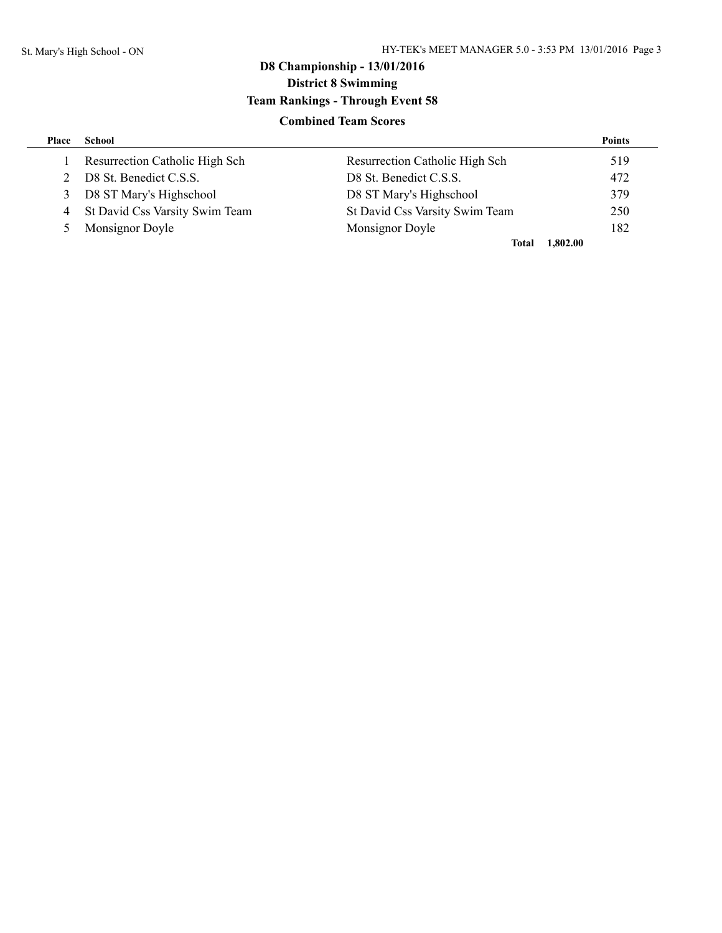## **Combined Team Scores**

| Place          | School                           |                                       | <b>Points</b> |
|----------------|----------------------------------|---------------------------------------|---------------|
|                | Resurrection Catholic High Sch   | <b>Resurrection Catholic High Sch</b> | 519           |
| 2              | D8 St. Benedict C.S.S.           | D8 St. Benedict C.S.S.                | 472           |
| 3              | D8 ST Mary's Highschool          | D8 ST Mary's Highschool               | 379           |
|                | 4 St David Css Varsity Swim Team | St David Css Varsity Swim Team        | 250           |
| 5 <sup>1</sup> | Monsignor Doyle                  | Monsignor Doyle                       | 182           |
|                |                                  | 1,802.00<br>Total                     |               |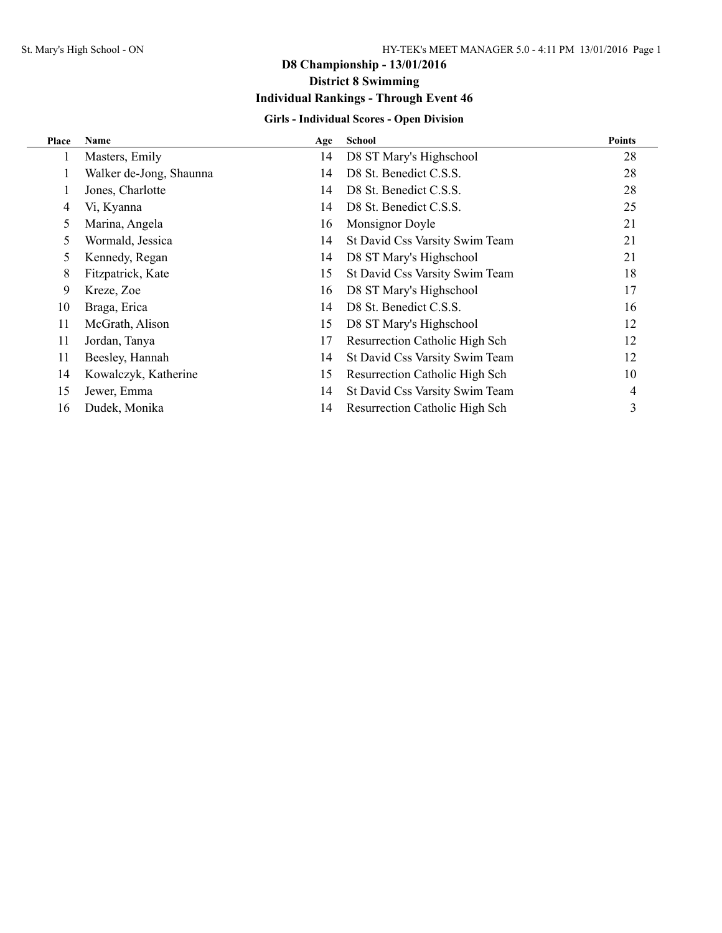## **Girls - Individual Scores - Open Division**

| Place | Name                    | Age | <b>School</b>                  | <b>Points</b> |
|-------|-------------------------|-----|--------------------------------|---------------|
|       | Masters, Emily          | 14  | D8 ST Mary's Highschool        | 28            |
|       | Walker de-Jong, Shaunna | 14  | D8 St. Benedict C.S.S.         | 28            |
|       | Jones, Charlotte        | 14  | D8 St. Benedict C.S.S.         | 28            |
| 4     | Vi, Kyanna              | 14  | D8 St. Benedict C.S.S.         | 25            |
| 5     | Marina, Angela          | 16  | Monsignor Doyle                | 21            |
| 5     | Wormald, Jessica        | 14  | St David Css Varsity Swim Team | 21            |
| 5     | Kennedy, Regan          | 14  | D8 ST Mary's Highschool        | 21            |
| 8     | Fitzpatrick, Kate       | 15  | St David Css Varsity Swim Team | 18            |
| 9     | Kreze, Zoe              | 16  | D8 ST Mary's Highschool        | 17            |
| 10    | Braga, Erica            | 14  | D8 St. Benedict C.S.S.         | 16            |
| 11    | McGrath, Alison         | 15  | D8 ST Mary's Highschool        | 12            |
| 11    | Jordan, Tanya           | 17  | Resurrection Catholic High Sch | 12            |
| 11    | Beesley, Hannah         | 14  | St David Css Varsity Swim Team | 12            |
| 14    | Kowalczyk, Katherine    | 15  | Resurrection Catholic High Sch | 10            |
| 15    | Jewer, Emma             | 14  | St David Css Varsity Swim Team | 4             |
| 16    | Dudek, Monika           | 14  | Resurrection Catholic High Sch | 3             |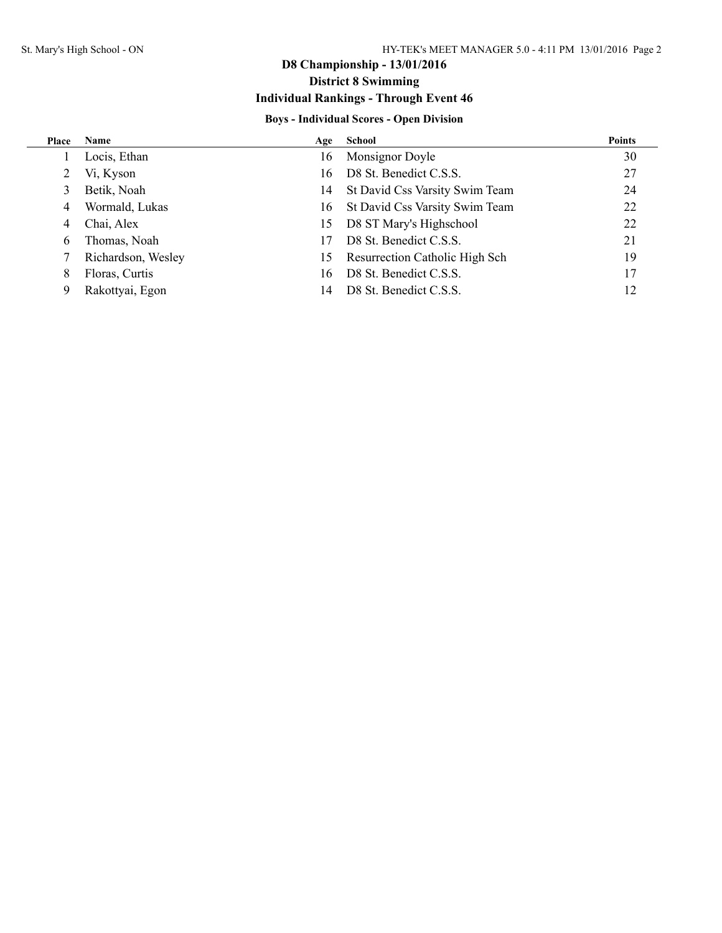# **D8 Championship - 13/01/2016 District 8 Swimming**

# **Individual Rankings - Through Event 46**

## **Boys - Individual Scores - Open Division**

| Place | <b>Name</b>        | Age | School                            | <b>Points</b> |
|-------|--------------------|-----|-----------------------------------|---------------|
|       | Locis, Ethan       | 16  | Monsignor Doyle                   | 30            |
| 2     | Vi, Kyson          | 16  | D8 St. Benedict C.S.S.            | 27            |
|       | Betik, Noah        | 14  | St David Css Varsity Swim Team    | 24            |
| 4     | Wormald, Lukas     |     | 16 St David Css Varsity Swim Team | 22            |
| 4     | Chai, Alex         | 15. | D8 ST Mary's Highschool           | 22            |
| 6     | Thomas, Noah       | 17  | D8 St. Benedict C.S.S.            | 21            |
|       | Richardson, Wesley | 15  | Resurrection Catholic High Sch    | 19            |
| 8     | Floras, Curtis     | 16  | D8 St. Benedict C.S.S.            | 17            |
| 9     | Rakottyai, Egon    | 14  | D8 St. Benedict C.S.S.            | 12            |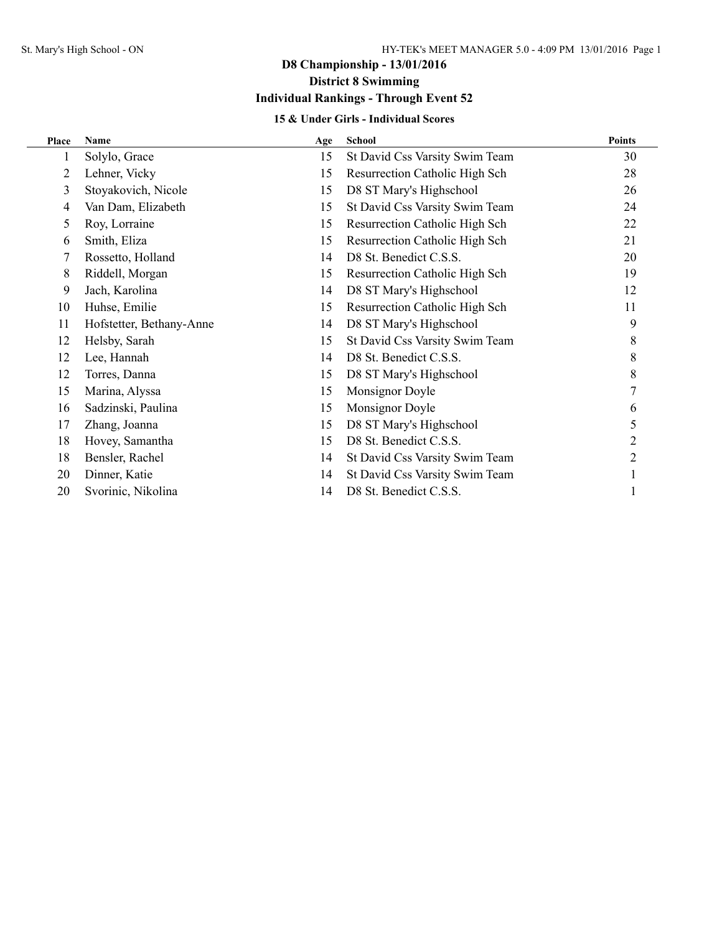## **15 & Under Girls - Individual Scores**

| Place | Name                     | Age | School                         | <b>Points</b> |
|-------|--------------------------|-----|--------------------------------|---------------|
| 1     | Solylo, Grace            | 15  | St David Css Varsity Swim Team | 30            |
| 2     | Lehner, Vicky            | 15  | Resurrection Catholic High Sch | 28            |
| 3     | Stoyakovich, Nicole      | 15  | D8 ST Mary's Highschool        | 26            |
| 4     | Van Dam, Elizabeth       | 15  | St David Css Varsity Swim Team | 24            |
| 5     | Roy, Lorraine            | 15  | Resurrection Catholic High Sch | 22            |
| 6     | Smith, Eliza             | 15  | Resurrection Catholic High Sch | 21            |
| 7     | Rossetto, Holland        | 14  | D8 St. Benedict C.S.S.         | 20            |
| 8     | Riddell, Morgan          | 15  | Resurrection Catholic High Sch | 19            |
| 9     | Jach, Karolina           | 14  | D8 ST Mary's Highschool        | 12            |
| 10    | Huhse, Emilie            | 15  | Resurrection Catholic High Sch | 11            |
| 11    | Hofstetter, Bethany-Anne | 14  | D8 ST Mary's Highschool        | 9             |
| 12    | Helsby, Sarah            | 15  | St David Css Varsity Swim Team | 8             |
| 12    | Lee, Hannah              | 14  | D8 St. Benedict C.S.S.         | 8             |
| 12    | Torres, Danna            | 15  | D8 ST Mary's Highschool        | 8             |
| 15    | Marina, Alyssa           | 15  | Monsignor Doyle                |               |
| 16    | Sadzinski, Paulina       | 15  | Monsignor Doyle                | 6             |
| 17    | Zhang, Joanna            | 15  | D8 ST Mary's Highschool        | 5             |
| 18    | Hovey, Samantha          | 15  | D8 St. Benedict C.S.S.         | 2             |
| 18    | Bensler, Rachel          | 14  | St David Css Varsity Swim Team | 2             |
| 20    | Dinner, Katie            | 14  | St David Css Varsity Swim Team |               |
| 20    | Svorinic, Nikolina       | 14  | D8 St. Benedict C.S.S.         |               |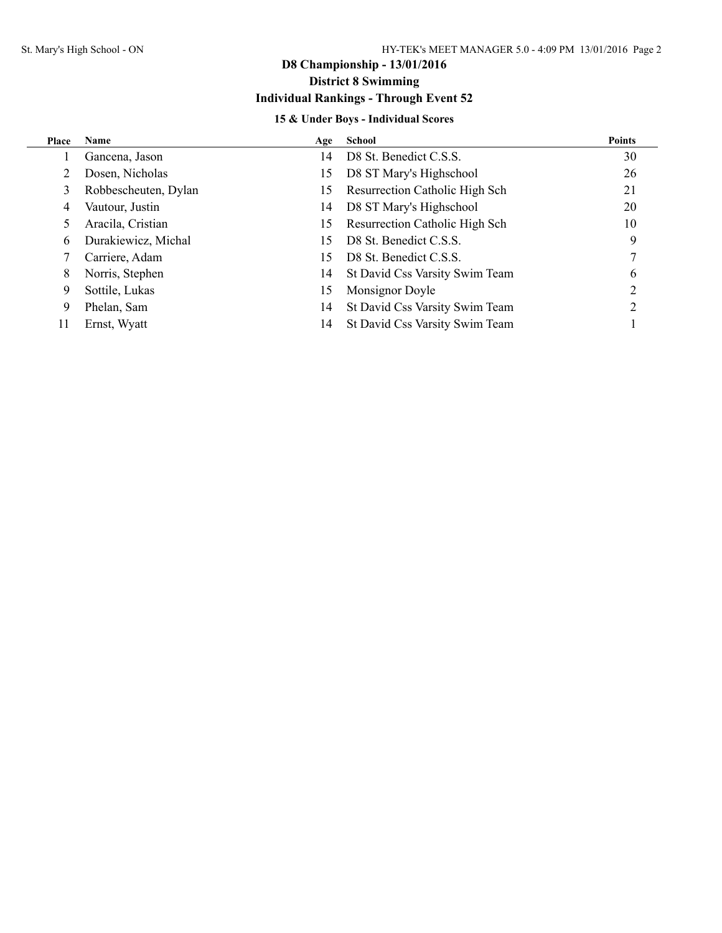## **15 & Under Boys - Individual Scores**

| Place | Name                 | Age | School                         | <b>Points</b>  |
|-------|----------------------|-----|--------------------------------|----------------|
|       | Gancena, Jason       | 14  | D8 St. Benedict C.S.S.         | 30             |
| 2     | Dosen, Nicholas      | 15  | D8 ST Mary's Highschool        | 26             |
| 3     | Robbescheuten, Dylan | 15  | Resurrection Catholic High Sch | 21             |
| 4     | Vautour, Justin      | 14  | D8 ST Mary's Highschool        | 20             |
| 5     | Aracila, Cristian    | 15  | Resurrection Catholic High Sch | 10             |
| 6     | Durakiewicz, Michal  | 15  | D8 St. Benedict C.S.S.         | 9              |
| 7     | Carriere, Adam       | 15  | D8 St. Benedict C.S.S.         |                |
| 8     | Norris, Stephen      | 14  | St David Css Varsity Swim Team | 6              |
| 9     | Sottile, Lukas       | 15  | Monsignor Doyle                | 2              |
| 9     | Phelan, Sam          | 14  | St David Css Varsity Swim Team | $\mathfrak{D}$ |
| 11    | Ernst, Wyatt         | 14  | St David Css Varsity Swim Team |                |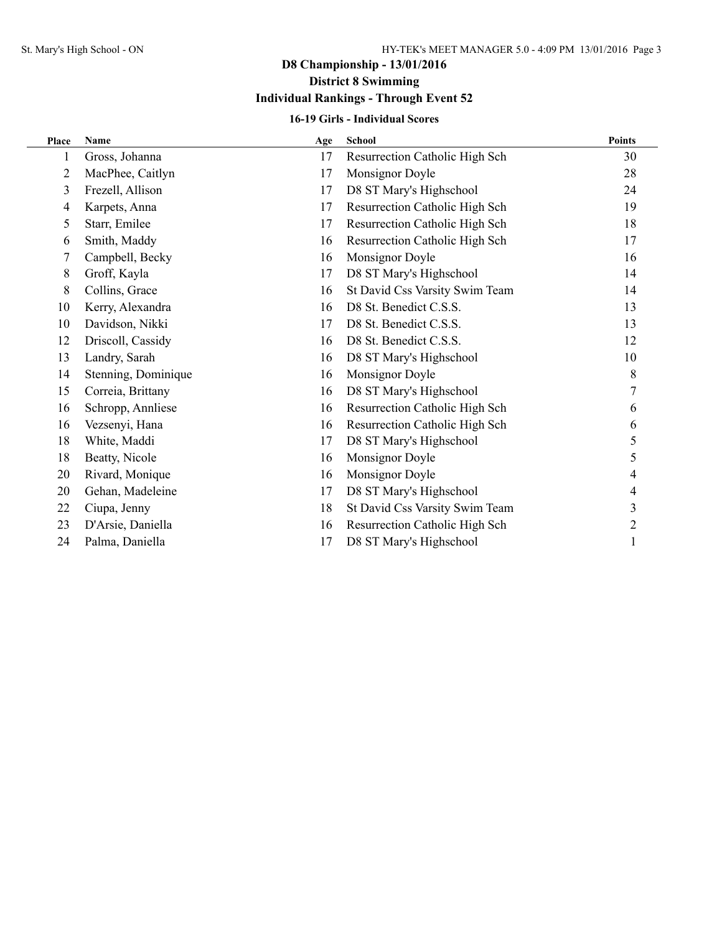## **D8 Championship - 13/01/2016 District 8 Swimming**

## **Individual Rankings - Through Event 52**

## **16-19 Girls - Individual Scores**

| Place | <b>Name</b>         | Age | <b>School</b>                  | <b>Points</b> |
|-------|---------------------|-----|--------------------------------|---------------|
| 1     | Gross, Johanna      | 17  | Resurrection Catholic High Sch | 30            |
| 2     | MacPhee, Caitlyn    | 17  | Monsignor Doyle                | 28            |
| 3     | Frezell, Allison    | 17  | D8 ST Mary's Highschool        | 24            |
| 4     | Karpets, Anna       | 17  | Resurrection Catholic High Sch | 19            |
| 5     | Starr, Emilee       | 17  | Resurrection Catholic High Sch | 18            |
| 6     | Smith, Maddy        | 16  | Resurrection Catholic High Sch | 17            |
| 7     | Campbell, Becky     | 16  | Monsignor Doyle                | 16            |
| 8     | Groff, Kayla        | 17  | D8 ST Mary's Highschool        | 14            |
| 8     | Collins, Grace      | 16  | St David Css Varsity Swim Team | 14            |
| 10    | Kerry, Alexandra    | 16  | D8 St. Benedict C.S.S.         | 13            |
| 10    | Davidson, Nikki     | 17  | D8 St. Benedict C.S.S.         | 13            |
| 12    | Driscoll, Cassidy   | 16  | D8 St. Benedict C.S.S.         | 12            |
| 13    | Landry, Sarah       | 16  | D8 ST Mary's Highschool        | 10            |
| 14    | Stenning, Dominique | 16  | Monsignor Doyle                | 8             |
| 15    | Correia, Brittany   | 16  | D8 ST Mary's Highschool        | 7             |
| 16    | Schropp, Annliese   | 16  | Resurrection Catholic High Sch | 6             |
| 16    | Vezsenyi, Hana      | 16  | Resurrection Catholic High Sch | 6             |
| 18    | White, Maddi        | 17  | D8 ST Mary's Highschool        | 5             |
| 18    | Beatty, Nicole      | 16  | Monsignor Doyle                | 5             |
| 20    | Rivard, Monique     | 16  | Monsignor Doyle                | 4             |
| 20    | Gehan, Madeleine    | 17  | D8 ST Mary's Highschool        | 4             |
| 22    | Ciupa, Jenny        | 18  | St David Css Varsity Swim Team | 3             |
| 23    | D'Arsie, Daniella   | 16  | Resurrection Catholic High Sch | 2             |
| 24    | Palma, Daniella     | 17  | D8 ST Mary's Highschool        |               |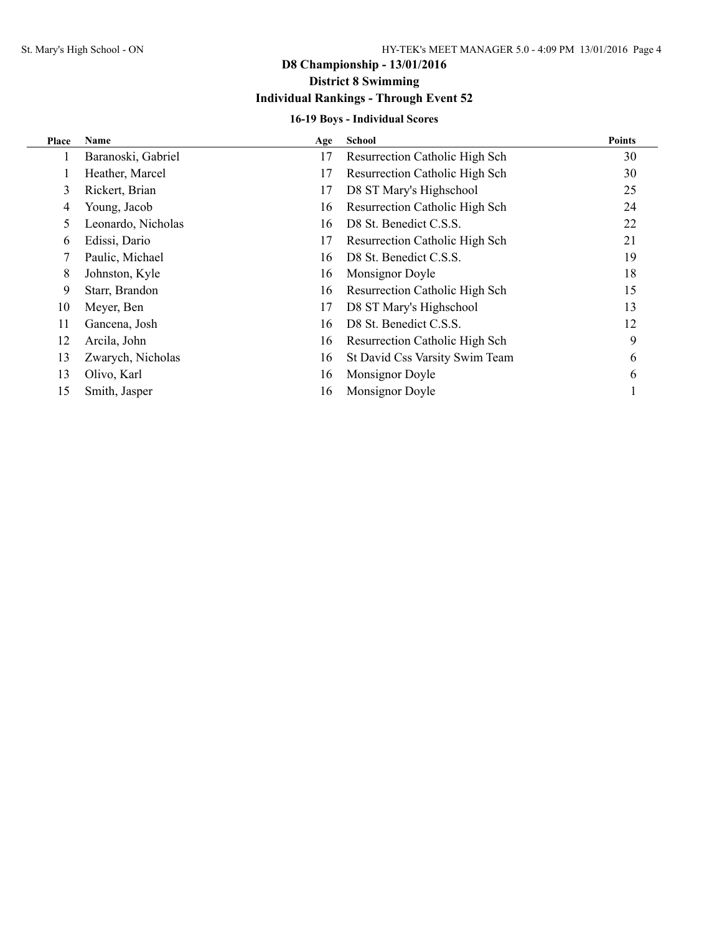## **16-19 Boys - Individual Scores**

| Place | Name               | Age | <b>School</b>                  | <b>Points</b> |
|-------|--------------------|-----|--------------------------------|---------------|
|       | Baranoski, Gabriel | 17  | Resurrection Catholic High Sch | 30            |
|       | Heather, Marcel    | 17  | Resurrection Catholic High Sch | 30            |
| 3     | Rickert, Brian     | 17  | D8 ST Mary's Highschool        | 25            |
| 4     | Young, Jacob       | 16  | Resurrection Catholic High Sch | 24            |
| 5.    | Leonardo, Nicholas | 16  | D8 St. Benedict C.S.S.         | 22            |
| 6     | Edissi, Dario      | 17  | Resurrection Catholic High Sch | 21            |
|       | Paulic, Michael    | 16  | D8 St. Benedict C.S.S.         | 19            |
| 8     | Johnston, Kyle     | 16  | Monsignor Doyle                | 18            |
| 9     | Starr, Brandon     | 16  | Resurrection Catholic High Sch | 15            |
| 10    | Meyer, Ben         | 17  | D8 ST Mary's Highschool        | 13            |
| 11    | Gancena, Josh      | 16  | D8 St. Benedict C.S.S.         | 12            |
| 12    | Arcila, John       | 16  | Resurrection Catholic High Sch | 9             |
| 13    | Zwarych, Nicholas  | 16  | St David Css Varsity Swim Team | 6             |
| 13    | Olivo, Karl        | 16  | Monsignor Doyle                | 6             |
| 15    | Smith, Jasper      | 16  | Monsignor Doyle                |               |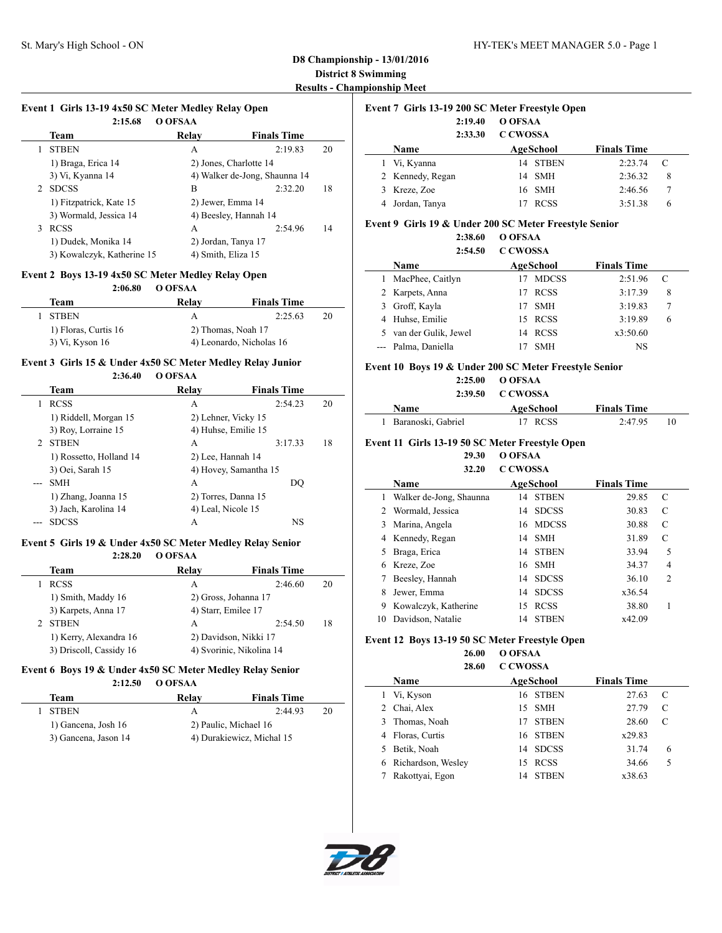$\overline{a}$ 

| 2:15.68                    | O OFSAA                |                               |    |
|----------------------------|------------------------|-------------------------------|----|
| Team                       | Relay                  | <b>Finals Time</b>            |    |
| <b>STBEN</b>               | А                      | 2:19.83                       | 20 |
| 1) Braga, Erica 14         | 2) Jones, Charlotte 14 |                               |    |
| 3) Vi, Kyanna 14           |                        | 4) Walker de-Jong, Shaunna 14 |    |
| <b>SDCSS</b><br>2          | B                      | 2:32.20                       | 18 |
| 1) Fitzpatrick, Kate 15    | 2) Jewer, Emma 14      |                               |    |
| 3) Wormald, Jessica 14     | 4) Beesley, Hannah 14  |                               |    |
| <b>RCSS</b><br>3           | A                      | 2:54.96                       | 14 |
| 1) Dudek, Monika 14        | 2) Jordan, Tanya 17    |                               |    |
| 3) Kowalczyk, Katherine 15 | 4) Smith, Eliza 15     |                               |    |

## **Event 2 Boys 13-19 4x50 SC Meter Medley Relay Open**

**2:06.80 O OFSAA**

| Team                 | Relay              | <b>Finals Time</b>       |    |
|----------------------|--------------------|--------------------------|----|
| 1 STBEN              |                    | 2:25.63                  | 20 |
| 1) Floras, Curtis 16 | 2) Thomas, Noah 17 |                          |    |
| 3) Vi, Kyson 16      |                    | 4) Leonardo, Nicholas 16 |    |

### **Event 3 Girls 15 & Under 4x50 SC Meter Medley Relay Junior**

**2:36.40 O OFSAA**

|   | Team                    | Relay                 | <b>Finals Time</b> |    |
|---|-------------------------|-----------------------|--------------------|----|
|   | <b>RCSS</b>             | А                     | 2:54.23            | 20 |
|   | 1) Riddell, Morgan 15   | 2) Lehner, Vicky 15   |                    |    |
|   | 3) Roy, Lorraine 15     | 4) Huhse, Emilie 15   |                    |    |
| 2 | <b>STBEN</b>            | А                     | 3:17.33            | 18 |
|   | 1) Rossetto, Holland 14 | 2) Lee, Hannah 14     |                    |    |
|   | 3) Oei, Sarah 15        | 4) Hovey, Samantha 15 |                    |    |
|   | <b>SMH</b>              | A                     | DO                 |    |
|   | 1) Zhang, Joanna 15     | 2) Torres, Danna 15   |                    |    |
|   | 3) Jach, Karolina 14    | 4) Leal, Nicole 15    |                    |    |
|   | <b>SDCSS</b>            | А                     | NS                 |    |

#### **Event 5 Girls 19 & Under 4x50 SC Meter Medley Relay Senior 2:28.20 O OFSAA**

| Team                    | Relav                    | <b>Finals Time</b> |    |  |
|-------------------------|--------------------------|--------------------|----|--|
| <b>RCSS</b>             | А                        | 2:46.60            | 20 |  |
| 1) Smith, Maddy 16      | 2) Gross, Johanna 17     |                    |    |  |
| 3) Karpets, Anna 17     | 4) Starr, Emilee 17      |                    |    |  |
| <b>STBEN</b>            | А                        | 2:54.50            | 18 |  |
| 1) Kerry, Alexandra 16  | 2) Davidson, Nikki 17    |                    |    |  |
| 3) Driscoll, Cassidy 16 | 4) Svorinic, Nikolina 14 |                    |    |  |

## **Event 6 Boys 19 & Under 4x50 SC Meter Medley Relay Senior**

**2:12.50 O OFSAA**

| Team                 | Relav                 | <b>Finals Time</b>        |    |  |  |
|----------------------|-----------------------|---------------------------|----|--|--|
| <b>STBEN</b>         | А                     | 2.4493                    | 20 |  |  |
| 1) Gancena, Josh 16  | 2) Paulic, Michael 16 |                           |    |  |  |
| 3) Gancena, Jason 14 |                       | 4) Durakiewicz, Michal 15 |    |  |  |

| Event 7 Girls 13-19 200 SC Meter Freestyle Open |                  |                 |                  |                    |        |  |
|-------------------------------------------------|------------------|-----------------|------------------|--------------------|--------|--|
|                                                 | 2:19.40          | O OFSAA         |                  |                    |        |  |
|                                                 | 2:33.30          | <b>C CWOSSA</b> |                  |                    |        |  |
|                                                 | Name             |                 | <b>AgeSchool</b> | <b>Finals Time</b> |        |  |
|                                                 | Vi, Kyanna       | 14              | STBEN            | 2:23.74            | C      |  |
|                                                 | 2 Kennedy, Regan | 14              | <b>SMH</b>       | 2:36.32            | 8      |  |
|                                                 | Kreze, Zoe       |                 | 16 SMH           | 2:46.56            | $\tau$ |  |
|                                                 | Jordan, Tanya    |                 | <b>RCSS</b>      | 3:51.38            | 6      |  |
|                                                 |                  |                 |                  |                    |        |  |

### **Event 9 Girls 19 & Under 200 SC Meter Freestyle Senior**

|    | 2:38.60<br>2:54.50   | O OFSAA<br><b>C CWOSSA</b> |                    |   |
|----|----------------------|----------------------------|--------------------|---|
|    | Name                 | <b>AgeSchool</b>           | <b>Finals Time</b> |   |
| 1. | MacPhee, Caitlyn     | <b>MDCSS</b>               | 2:51.96            | C |
|    | 2 Karpets, Anna      | <b>RCSS</b><br>17          | 3:17.39            | 8 |
|    | 3 Groff, Kayla       | <b>SMH</b><br>17           | 3:19.83            |   |
| 4  | Huhse, Emilie        | <b>RCSS</b><br>15          | 3:19.89            | 6 |
| 5. | van der Gulik, Jewel | <b>RCSS</b><br>14          | x3:50.60           |   |
|    | Palma, Daniella      | <b>SMH</b>                 | NS                 |   |

### **Event 10 Boys 19 & Under 200 SC Meter Freestyle Senior**

**2:25.00 O OFSAA**

| 2:39.50              | C CWOSSA  |                    |    |
|----------------------|-----------|--------------------|----|
| <b>Name</b>          | AgeSchool | <b>Finals Time</b> |    |
| 1 Baranoski, Gabriel | 17 RCSS   | 2:47.95            | 10 |

## **Event 11 Girls 13-19 50 SC Meter Freestyle Open**

**29.30 O OFSAA 32.20 C CWOSSA**

|    | Name                    | AgeSchool          | <b>Finals Time</b> |                |  |  |  |  |
|----|-------------------------|--------------------|--------------------|----------------|--|--|--|--|
| 1  | Walker de-Jong, Shaunna | <b>STBEN</b><br>14 | 29.85              | C              |  |  |  |  |
| 2  | Wormald, Jessica        | <b>SDCSS</b><br>14 | 30.83              | C              |  |  |  |  |
| 3  | Marina, Angela          | 16 MDCSS           | 30.88              | C              |  |  |  |  |
| 4  | Kennedy, Regan          | <b>SMH</b><br>14   | 31.89              | C              |  |  |  |  |
| 5  | Braga, Erica            | <b>STBEN</b><br>14 | 33.94              | 5              |  |  |  |  |
| 6  | Kreze, Zoe              | 16 SMH             | 34.37              | 4              |  |  |  |  |
|    | Beesley, Hannah         | <b>SDCSS</b><br>14 | 36.10              | $\overline{2}$ |  |  |  |  |
| 8  | Jewer, Emma             | <b>SDCSS</b><br>14 | x36.54             |                |  |  |  |  |
| 9  | Kowalczyk, Katherine    | <b>RCSS</b><br>15  | 38.80              |                |  |  |  |  |
| 10 | Davidson, Natalie       | <b>STBEN</b><br>14 | x42.09             |                |  |  |  |  |

#### **Event 12 Boys 13-19 50 SC Meter Freestyle Open**

**26.00 O OFSAA 28.60 C CWOSSA**

|   | Name               | <b>AgeSchool</b>  |              | <b>Finals Time</b> |   |
|---|--------------------|-------------------|--------------|--------------------|---|
|   | Vi, Kyson          | 16 STBEN          |              | 27.63              | C |
|   | Chai, Alex         | 15 SMH            |              | 27.79              | C |
| 3 | Thomas, Noah       | 17                | <b>STBEN</b> | 28.60              |   |
|   | Floras, Curtis     | 16 STBEN          |              | x29.83             |   |
|   | Betik, Noah        | 14 SDCSS          |              | 31.74              | 6 |
| 6 | Richardson, Wesley | <b>RCSS</b><br>15 |              | 34.66              | 5 |
|   | Rakottvai, Egon    | 14                | <b>STBEN</b> | x38.63             |   |



 $\overline{\phantom{a}}$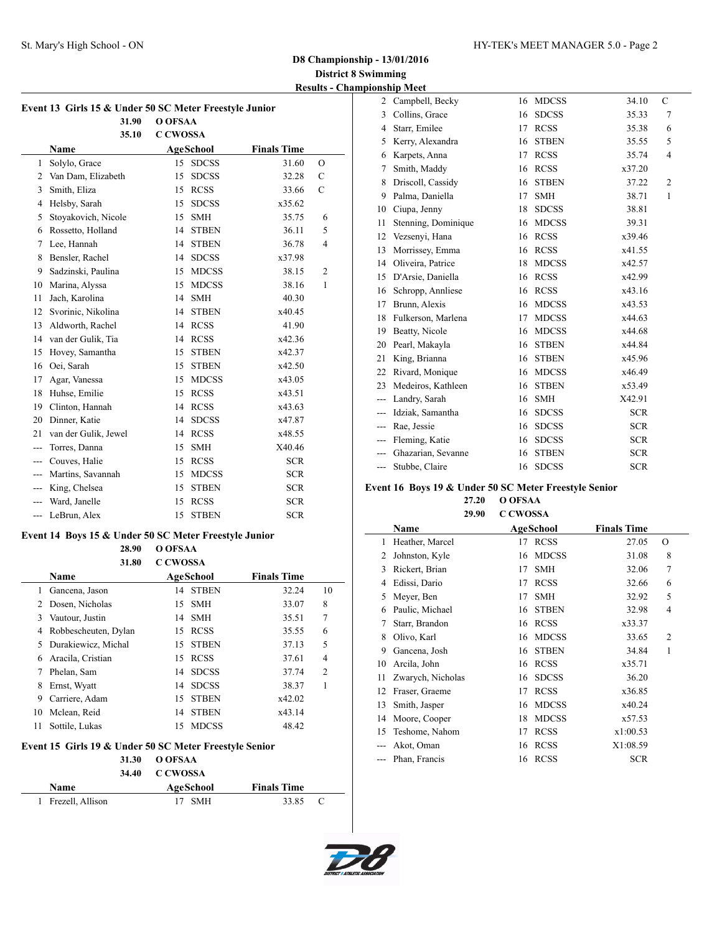| Event 13 Girls 15 & Under 50 SC Meter Freestyle Junior |                      |                 |              |                    |                |  |  |
|--------------------------------------------------------|----------------------|-----------------|--------------|--------------------|----------------|--|--|
|                                                        | 31.90                | O OFSAA         |              |                    |                |  |  |
|                                                        | 35.10                | <b>C CWOSSA</b> |              |                    |                |  |  |
|                                                        | <b>Name</b>          |                 | AgeSchool    | <b>Finals Time</b> |                |  |  |
| 1                                                      | Solylo, Grace        | 15              | <b>SDCSS</b> | 31.60              | $\overline{O}$ |  |  |
| $\overline{2}$                                         | Van Dam, Elizabeth   | 15              | <b>SDCSS</b> | 32.28              | $\mathcal{C}$  |  |  |
| 3                                                      | Smith, Eliza         | 15              | <b>RCSS</b>  | 33.66              | $\mathcal{C}$  |  |  |
| $\overline{4}$                                         | Helsby, Sarah        | 15              | <b>SDCSS</b> | x35.62             |                |  |  |
| 5                                                      | Stoyakovich, Nicole  | 15              | <b>SMH</b>   | 35.75              | 6              |  |  |
| 6                                                      | Rossetto, Holland    | 14              | <b>STBEN</b> | 36.11              | 5              |  |  |
| 7                                                      | Lee, Hannah          | 14              | <b>STBEN</b> | 36.78              | $\overline{4}$ |  |  |
| 8                                                      | Bensler, Rachel      | 14              | <b>SDCSS</b> | x37.98             |                |  |  |
| 9                                                      | Sadzinski, Paulina   | 15              | <b>MDCSS</b> | 38.15              | $\overline{c}$ |  |  |
| 10                                                     | Marina, Alyssa       | 15              | <b>MDCSS</b> | 38.16              | $\mathbf{1}$   |  |  |
| 11                                                     | Jach, Karolina       | 14              | <b>SMH</b>   | 40.30              |                |  |  |
| 12                                                     | Svorinic, Nikolina   | 14              | <b>STBEN</b> | x40.45             |                |  |  |
| 13                                                     | Aldworth, Rachel     | 14              | <b>RCSS</b>  | 41.90              |                |  |  |
| 14                                                     | van der Gulik, Tia   | 14              | <b>RCSS</b>  | x42.36             |                |  |  |
| 15                                                     | Hovey, Samantha      | 15              | <b>STBEN</b> | x42.37             |                |  |  |
| 16                                                     | Oei, Sarah           | 15              | <b>STBEN</b> | x42.50             |                |  |  |
| 17                                                     | Agar, Vanessa        | 15              | <b>MDCSS</b> | x43.05             |                |  |  |
| 18                                                     | Huhse, Emilie        | 15              | <b>RCSS</b>  | x43.51             |                |  |  |
| 19                                                     | Clinton, Hannah      | 14              | <b>RCSS</b>  | x43.63             |                |  |  |
| 20                                                     | Dinner, Katie        | 14              | <b>SDCSS</b> | x47.87             |                |  |  |
| 21                                                     | van der Gulik, Jewel | 14              | <b>RCSS</b>  | x48.55             |                |  |  |
| $\overline{a}$                                         | Torres, Danna        | 15              | <b>SMH</b>   | X40.46             |                |  |  |
| ---                                                    | Couves, Halie        | 15              | <b>RCSS</b>  | <b>SCR</b>         |                |  |  |
| $\overline{a}$                                         | Martins, Savannah    | 15              | <b>MDCSS</b> | <b>SCR</b>         |                |  |  |
| ---                                                    | King, Chelsea        | 15              | <b>STBEN</b> | <b>SCR</b>         |                |  |  |
| ---                                                    | Ward, Janelle        | 15              | <b>RCSS</b>  | <b>SCR</b>         |                |  |  |
| $\overline{a}$                                         | LeBrun, Alex         | 15              | <b>STBEN</b> | <b>SCR</b>         |                |  |  |
|                                                        |                      |                 |              |                    |                |  |  |

### **Event 14 Boys 15 & Under 50 SC Meter Freestyle Junior**

**28.90 O OFSAA**

|    | 31.80                | <b>C CWOSSA</b> |              |                    |                |
|----|----------------------|-----------------|--------------|--------------------|----------------|
|    | Name                 |                 | AgeSchool    | <b>Finals Time</b> |                |
|    | Gancena, Jason       | 14              | <b>STBEN</b> | 32.24              | 10             |
| 2  | Dosen, Nicholas      | 15              | – SMH        | 33.07              | 8              |
| 3  | Vautour, Justin      | 14              | <b>SMH</b>   | 35.51              | 7              |
| 4  | Robbescheuten, Dylan | 15              | <b>RCSS</b>  | 35.55              | 6              |
| 5. | Durakiewicz, Michal  | 15              | <b>STBEN</b> | 37.13              | 5              |
| 6  | Aracila, Cristian    | 15              | <b>RCSS</b>  | 37.61              | 4              |
| 7  | Phelan, Sam          | 14              | <b>SDCSS</b> | 37.74              | $\overline{c}$ |
| 8  | Ernst, Wyatt         | 14              | <b>SDCSS</b> | 38.37              |                |
| 9  | Carriere, Adam       | 15              | <b>STBEN</b> | x42.02             |                |
| 10 | Mclean, Reid         | 14              | <b>STBEN</b> | x43.14             |                |
| 11 | Sottile, Lukas       | 15              | <b>MDCSS</b> | 48.42              |                |

## **Event 15 Girls 19 & Under 50 SC Meter Freestyle Senior**

## **31.30 O OFSAA**

|                    | 34.40 | C CWOSSA  |  |                    |  |
|--------------------|-------|-----------|--|--------------------|--|
| <b>Name</b>        |       | AgeSchool |  | <b>Finals Time</b> |  |
| 1 Frezell, Allison |       | 17 SMH    |  | 33.85 C            |  |

| Campbell, Becky     | 16 | <b>MDCSS</b> | 34.10      | $\mathcal{C}$            |  |
|---------------------|----|--------------|------------|--------------------------|--|
| Collins, Grace      | 16 | <b>SDCSS</b> | 35.33      | 7                        |  |
| Starr, Emilee       | 17 | <b>RCSS</b>  | 35.38      | 6                        |  |
| Kerry, Alexandra    | 16 | <b>STBEN</b> | 35.55      | 5                        |  |
| Karpets, Anna       | 17 | <b>RCSS</b>  | 35.74      | $\overline{\mathcal{L}}$ |  |
| Smith, Maddy        | 16 | <b>RCSS</b>  | x37.20     |                          |  |
| Driscoll, Cassidy   | 16 | <b>STBEN</b> | 37.22      | $\overline{2}$           |  |
| Palma, Daniella     | 17 | <b>SMH</b>   | 38.71      | $\mathbf{1}$             |  |
| Ciupa, Jenny        | 18 | <b>SDCSS</b> | 38.81      |                          |  |
| Stenning, Dominique | 16 | <b>MDCSS</b> | 39.31      |                          |  |
| Vezsenyi, Hana      | 16 | <b>RCSS</b>  | x39.46     |                          |  |
| Morrissey, Emma     | 16 | <b>RCSS</b>  | x41.55     |                          |  |
| Oliveira, Patrice   | 18 | <b>MDCSS</b> | x42.57     |                          |  |
| D'Arsie, Daniella   | 16 | <b>RCSS</b>  | x42.99     |                          |  |
| Schropp, Annliese   | 16 | <b>RCSS</b>  | x43.16     |                          |  |
| Brunn, Alexis       | 16 | <b>MDCSS</b> | x43.53     |                          |  |
| Fulkerson, Marlena  | 17 | <b>MDCSS</b> | x44.63     |                          |  |
| Beatty, Nicole      | 16 | <b>MDCSS</b> | x44.68     |                          |  |
| Pearl, Makayla      | 16 | <b>STBEN</b> | x44.84     |                          |  |
| King, Brianna       | 16 | <b>STBEN</b> | x45.96     |                          |  |
| Rivard, Monique     | 16 | <b>MDCSS</b> | x46.49     |                          |  |
| Medeiros, Kathleen  | 16 | <b>STBEN</b> | x53.49     |                          |  |
| Landry, Sarah       | 16 | <b>SMH</b>   | X42.91     |                          |  |
| Idziak, Samantha    | 16 | <b>SDCSS</b> | <b>SCR</b> |                          |  |
| Rae, Jessie         | 16 | <b>SDCSS</b> | <b>SCR</b> |                          |  |
| Fleming, Katie      | 16 | <b>SDCSS</b> | <b>SCR</b> |                          |  |
| Ghazarian, Sevanne  | 16 | <b>STBEN</b> | <b>SCR</b> |                          |  |
| Stubbe, Claire      | 16 | <b>SDCSS</b> | <b>SCR</b> |                          |  |
|                     |    |              |            |                          |  |

## **Event 16 Boys 19 & Under 50 SC Meter Freestyle Senior**

**27.20 O OFSAA 29.90 C CWOSSA**

|                | Name              | <b>AgeSchool</b> |              | <b>Finals Time</b> |                |
|----------------|-------------------|------------------|--------------|--------------------|----------------|
| 1              | Heather, Marcel   | 17               | <b>RCSS</b>  | 27.05              | $\Omega$       |
| $\overline{c}$ | Johnston, Kyle    | 16               | <b>MDCSS</b> | 31.08              | 8              |
| 3              | Rickert, Brian    | 17               | <b>SMH</b>   | 32.06              | 7              |
| 4              | Edissi, Dario     | 17               | <b>RCSS</b>  | 32.66              | 6              |
| 5              | Meyer, Ben        | 17               | <b>SMH</b>   | 32.92              | 5              |
| 6              | Paulic, Michael   | 16               | <b>STBEN</b> | 32.98              | 4              |
| 7              | Starr, Brandon    | 16               | <b>RCSS</b>  | x33.37             |                |
| 8              | Olivo, Karl       | 16               | <b>MDCSS</b> | 33.65              | $\overline{2}$ |
| 9              | Gancena, Josh     | 16               | <b>STBEN</b> | 34.84              | 1              |
| 10             | Arcila, John      | 16               | <b>RCSS</b>  | x35.71             |                |
| 11             | Zwarych, Nicholas | 16               | <b>SDCSS</b> | 36.20              |                |
| 12             | Fraser, Graeme    | 17               | <b>RCSS</b>  | x36.85             |                |
| 13             | Smith, Jasper     | 16               | <b>MDCSS</b> | x40.24             |                |
| 14             | Moore, Cooper     | 18               | <b>MDCSS</b> | x57.53             |                |
| 15             | Teshome, Nahom    | 17               | <b>RCSS</b>  | x1:00.53           |                |
|                | Akot, Oman        | 16               | <b>RCSS</b>  | X1:08.59           |                |
|                | Phan, Francis     | 16               | <b>RCSS</b>  | <b>SCR</b>         |                |

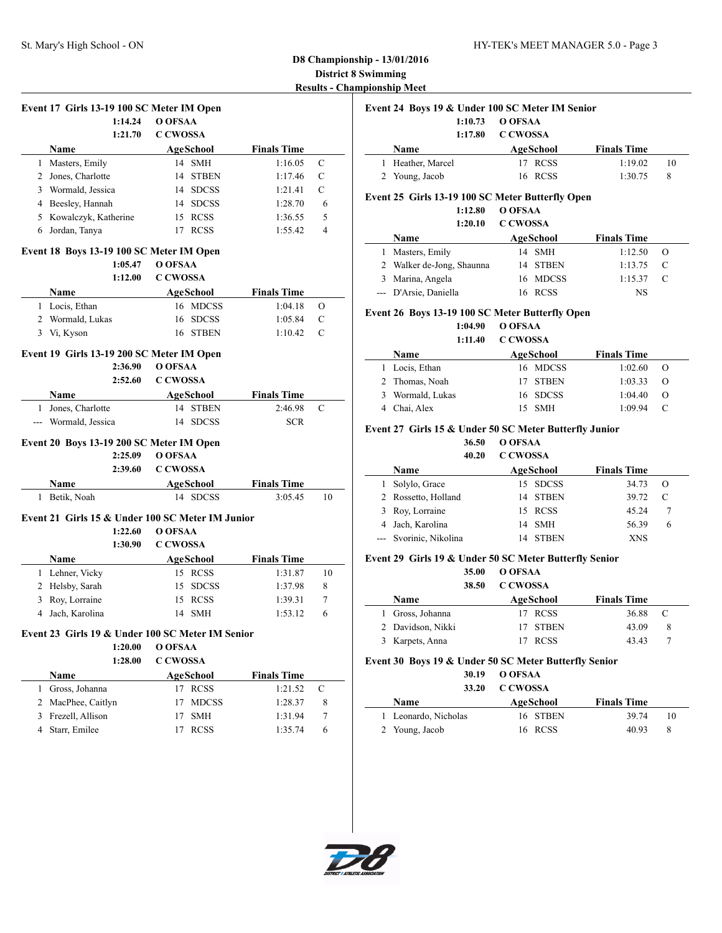|                | Event 17 Girls 13-19 100 SC Meter IM Open        |                 |                  |                    |               |
|----------------|--------------------------------------------------|-----------------|------------------|--------------------|---------------|
|                | 1:14.24                                          | O OFSAA         |                  |                    |               |
|                | 1:21.70                                          | <b>C CWOSSA</b> |                  |                    |               |
|                | Name                                             |                 | AgeSchool        | <b>Finals Time</b> |               |
| 1              | Masters, Emily                                   |                 | 14 SMH           | 1:16.05            | C             |
|                | 2 Jones, Charlotte                               |                 | 14 STBEN         | 1:17.46            | C             |
|                | 3 Wormald, Jessica                               |                 | 14 SDCSS         | 1:21.41            | C             |
|                | 4 Beesley, Hannah                                |                 | 14 SDCSS         | 1:28.70            | 6             |
|                | 5 Kowalczyk, Katherine                           |                 | 15 RCSS          | 1:36.55            | 5             |
| 6              | Jordan, Tanya                                    |                 | 17 RCSS          | 1:55.42            | 4             |
|                | Event 18 Boys 13-19 100 SC Meter IM Open         |                 |                  |                    |               |
|                | 1:05.47                                          | O OFSAA         |                  |                    |               |
|                | 1:12.00                                          | C CWOSSA        |                  |                    |               |
|                | Name                                             |                 | <b>AgeSchool</b> | <b>Finals Time</b> |               |
|                | 1 Locis, Ethan                                   |                 | 16 MDCSS         | 1:04.18            | О             |
|                | 2 Wormald, Lukas                                 | 16              | <b>SDCSS</b>     | 1:05.84            | $\mathcal{C}$ |
|                | 3 Vi, Kyson                                      | 16              | <b>STBEN</b>     | 1:10.42            | C             |
|                | Event 19 Girls 13-19 200 SC Meter IM Open        |                 |                  |                    |               |
|                | 2:36.90                                          | O OFSAA         |                  |                    |               |
|                | 2:52.60                                          | <b>C CWOSSA</b> |                  |                    |               |
|                | <b>Name</b>                                      |                 | AgeSchool        | <b>Finals Time</b> |               |
| 1              | Jones, Charlotte                                 |                 | 14 STBEN         | 2:46.98            | C             |
|                | --- Wormald, Jessica                             |                 | 14 SDCSS         | <b>SCR</b>         |               |
|                |                                                  |                 |                  |                    |               |
|                | Event 20 Boys 13-19 200 SC Meter IM Open         |                 |                  |                    |               |
|                | 2:25.09                                          | O OFSAA         |                  |                    |               |
|                | 2:39.60                                          | C CWOSSA        |                  |                    |               |
|                | Name                                             |                 | AgeSchool        | <b>Finals Time</b> |               |
| 1              | Betik, Noah                                      |                 | 14 SDCSS         | 3:05.45            | 10            |
|                | Event 21 Girls 15 & Under 100 SC Meter IM Junior |                 |                  |                    |               |
|                | 1:22.60                                          | O OFSAA         |                  |                    |               |
|                | 1:30.90                                          | <b>C CWOSSA</b> |                  |                    |               |
|                | Name                                             |                 | <b>AgeSchool</b> | <b>Finals Time</b> |               |
|                | 1 Lehner, Vicky                                  |                 | 15 RCSS          | 1:31.87            | 10            |
|                | 2 Helsby, Sarah                                  | 15              | <b>SDCSS</b>     | 1:37.98            | 8             |
|                | 3 Roy, Lorraine                                  |                 | 15 RCSS          | 1:39.31            | 7             |
| $\overline{4}$ | Jach, Karolina                                   |                 | 14 SMH           | 1:53.12            | 6             |
|                | Event 23 Girls 19 & Under 100 SC Meter IM Senior |                 |                  |                    |               |
|                | 1:20.00                                          | O OFSAA         |                  |                    |               |
|                | 1:28.00                                          | <b>C CWOSSA</b> |                  |                    |               |
|                | Name                                             |                 | AgeSchool        | <b>Finals Time</b> |               |
| 1              | Gross, Johanna                                   |                 | 17 RCSS          | 1:21.52            | $\mathbf C$   |

2 MacPhee, Caitlyn 17 MDCSS 1:28.37 8 3 Frezell, Allison 17 SMH 1:31.94 7 4 Starr, Emilee 17 RCSS 1:35.74 6

|   | Name                                             |         |                 | AgeSchool    | <b>Finals Time</b> |          |
|---|--------------------------------------------------|---------|-----------------|--------------|--------------------|----------|
| 1 | Heather, Marcel                                  |         | 17              | <b>RCSS</b>  | 1:19.02            | 10       |
| 2 | Young, Jacob                                     |         | 16              | RCSS         | 1:30.75            | 8        |
|   | Event 25 Girls 13-19 100 SC Meter Butterfly Open |         |                 |              |                    |          |
|   |                                                  | 1:12.80 | O OFSAA         |              |                    |          |
|   |                                                  | 1:20.10 | <b>C CWOSSA</b> |              |                    |          |
|   | Name                                             |         |                 | AgeSchool    | <b>Finals Time</b> |          |
| 1 | Masters, Emily                                   |         |                 | 14 SMH       | 1:12.50            | О        |
| 2 | Walker de-Jong, Shaunna                          |         | 14              | <b>STBEN</b> | 1:13.75            | C        |
| 3 | Marina, Angela                                   |         | 16              | <b>MDCSS</b> | 1:15.37            | C        |
|   | D'Arsie, Daniella                                |         |                 | 16 RCSS      | NS                 |          |
|   | Event 26 Boys 13-19 100 SC Meter Butterfly Open  |         |                 |              |                    |          |
|   |                                                  | 1:04.90 | O OFSAA         |              |                    |          |
|   |                                                  | 1:11.40 | <b>C CWOSSA</b> |              |                    |          |
|   | Name                                             |         |                 | AgeSchool    | <b>Finals Time</b> |          |
| 1 | Locis, Ethan                                     |         | 16              | <b>MDCSS</b> | 1:02.60            | $\Omega$ |
| 2 | Thomas, Noah                                     |         | 17              | <b>STBEN</b> | 1:03.33            | Ω        |

### **Event 27 Girls 15 & Under 50 SC Meter Butterfly Junior**

**Event 24 Boys 19 & Under 100 SC Meter IM Senior 1:10.73 O OFSAA 1:17.80 C CWOSSA**

> **36.50 O OFSAA 40.20 C CWOSSA**

| 40.ZV                  | U U WUSSA |                    |         |  |
|------------------------|-----------|--------------------|---------|--|
| <b>Name</b>            | AgeSchool | <b>Finals Time</b> |         |  |
| Solylo, Grace          | 15 SDCSS  | 34.73              | $\circ$ |  |
| 2 Rossetto, Holland    | 14 STBEN  | 39.72              | C       |  |
| 3 Roy, Lorraine        | 15 RCSS   | 45.24              |         |  |
| Jach, Karolina         | 14 SMH    | 56.39              | 6       |  |
| --- Svorinic, Nikolina | 14 STBEN  | <b>XNS</b>         |         |  |
|                        |           |                    |         |  |

3 Wormald, Lukas 16 SDCSS 1:04.40 O 4 Chai, Alex 15 SMH 1:09.94 C

### **Event 29 Girls 19 & Under 50 SC Meter Butterfly Senior**

|                   | 35.00 | O OFSAA         |             |                    |   |  |
|-------------------|-------|-----------------|-------------|--------------------|---|--|
|                   | 38.50 | <b>C CWOSSA</b> |             |                    |   |  |
| <b>Name</b>       |       |                 | AgeSchool   | <b>Finals Time</b> |   |  |
| Gross, Johanna    |       |                 | 17 RCSS     | 36.88              | C |  |
| 2 Davidson, Nikki |       |                 | 17 STBEN    | 43.09              | 8 |  |
| Karpets, Anna     |       |                 | <b>RCSS</b> | 43.43              |   |  |

**Event 30 Boys 19 & Under 50 SC Meter Butterfly Senior**

**30.19 O OFSAA 33.20 C CWOSSA**

|                      | 33.40 UUWO3A |                    |    |
|----------------------|--------------|--------------------|----|
| <b>Name</b>          | AgeSchool    | <b>Finals Time</b> |    |
| 1 Leonardo, Nicholas | 16 STBEN     | 39.74              | 10 |
| 2 Young, Jacob       | 16 RCSS      | 40.93              | -8 |



 $\overline{\phantom{0}}$ 

 $\overline{\phantom{a}}$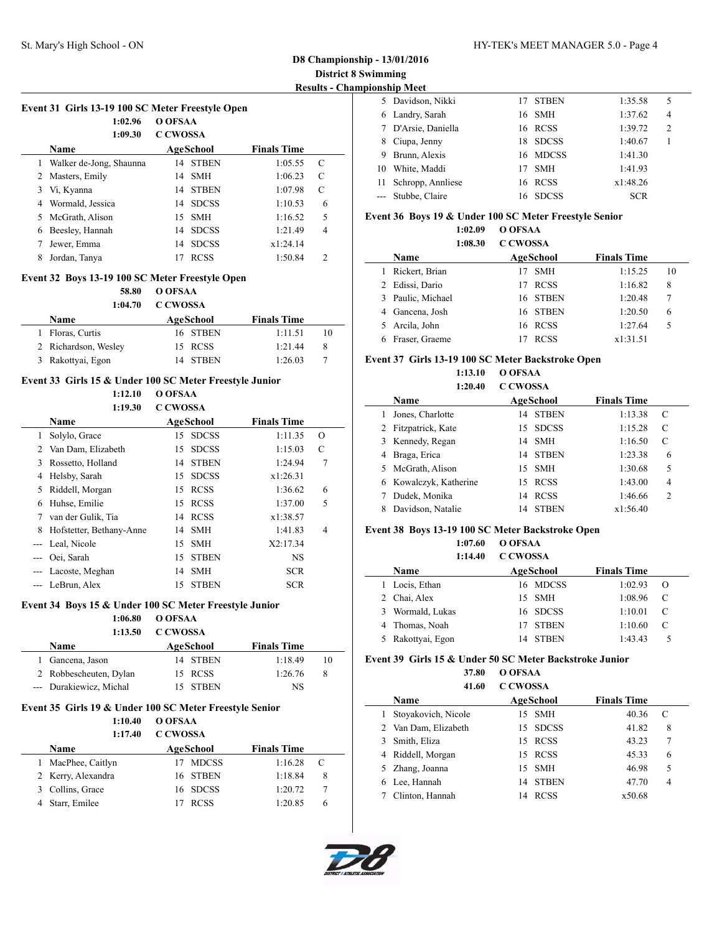|    | юнэшр імсе          |     |              |            |                |  |
|----|---------------------|-----|--------------|------------|----------------|--|
|    | 5 Davidson, Nikki   |     | 17 STBEN     | 1:35.58    | 5              |  |
|    | 6 Landry, Sarah     |     | 16 SMH       | 1:37.62    | $\overline{4}$ |  |
|    | 7 D'Arsie, Daniella |     | 16 RCSS      | 1:39.72    | $\overline{2}$ |  |
| 8  | Ciupa, Jenny        | 18. | <b>SDCSS</b> | 1:40.67    |                |  |
| 9  | Brunn, Alexis       |     | 16 MDCSS     | 1:41.30    |                |  |
| 10 | White, Maddi        | 17  | <b>SMH</b>   | 1:41.93    |                |  |
| 11 | Schropp, Annliese   |     | 16 RCSS      | x1:48.26   |                |  |
|    | --- Stubbe, Claire  | 16. | <b>SDCSS</b> | <b>SCR</b> |                |  |

#### **Event 36 Boys 19 & Under 100 SC Meter Freestyle Senior**

**1:02.09 O OFSAA 1:08.30 C CWOSSA**

|   | Name            | AgeSchool   | <b>Finals Time</b> |    |
|---|-----------------|-------------|--------------------|----|
|   | Rickert, Brian  | <b>SMH</b>  | 1:15.25            | 10 |
|   | Edissi, Dario   | 17 RCSS     | 1:16.82            | 8  |
| 3 | Paulic, Michael | 16 STBEN    | 1:20.48            |    |
|   | 4 Gancena, Josh | 16 STBEN    | 1:20.50            | 6  |
|   | Arcila, John    | 16 RCSS     | 1:27.64            |    |
|   | Fraser, Graeme  | <b>RCSS</b> | x1:31.51           |    |

#### **Event 37 Girls 13-19 100 SC Meter Backstroke Open**

**1:13.10 O OFSAA 1:20.40 C CWOSSA**

|   | Name                   |    | AgeSchool    | <b>Finals Time</b> |                |
|---|------------------------|----|--------------|--------------------|----------------|
|   | Jones, Charlotte       | 14 | <b>STBEN</b> | 1:13.38            | C              |
| 2 | Fitzpatrick, Kate      |    | 15 SDCSS     | 1:15.28            | C              |
|   | 3 Kennedy, Regan       | 14 | SMH          | 1:16.50            | C              |
| 4 | Braga, Erica           |    | 14 STBEN     | 1:23.38            | 6              |
|   | 5 McGrath, Alison      |    | 15 SMH       | 1:30.68            | 5              |
|   | 6 Kowalczyk, Katherine |    | 15 RCSS      | 1:43.00            | 4              |
|   | Dudek, Monika          | 14 | <b>RCSS</b>  | 1:46.66            | $\overline{2}$ |
| 8 | Davidson, Natalie      | 14 | <b>STBEN</b> | x1:56.40           |                |

#### **Event 38 Boys 13-19 100 SC Meter Backstroke Open**

**1:07.60 O OFSAA 1:14.40 C CWOSSA**

| .                 | UU WUQOA     |                    |          |  |
|-------------------|--------------|--------------------|----------|--|
| Name              | AgeSchool    | <b>Finals Time</b> |          |  |
| Locis, Ethan      | 16 MDCSS     | 1:02.93            | $\Omega$ |  |
| 2 Chai, Alex      | 15 SMH       | 1:08.96            | C        |  |
| 3 Wormald, Lukas  | 16 SDCSS     | 1:10.01            | C        |  |
| 4 Thomas, Noah    | <b>STBEN</b> | 1:10.60            | C        |  |
| 5 Rakottyai, Egon | STBEN<br>14  | 1:43.43            |          |  |
|                   |              |                    |          |  |

### **Event 39 Girls 15 & Under 50 SC Meter Backstroke Junior**

**37.80 O OFSAA 41.60 C CWOSSA**

| 71.VV                | <u>u un ubbin</u> |             |                    |   |  |
|----------------------|-------------------|-------------|--------------------|---|--|
| Name                 |                   | AgeSchool   | <b>Finals Time</b> |   |  |
| Stovakovich, Nicole  |                   | 15 SMH      | 40.36              | C |  |
| 2 Van Dam, Elizabeth |                   | 15 SDCSS    | 41.82              | 8 |  |
| Smith, Eliza         |                   | 15 RCSS     | 43.23              | 7 |  |
| 4 Riddell, Morgan    |                   | 15 RCSS     | 45.33              | 6 |  |
| 5 Zhang, Joanna      |                   | 15 SMH      | 46.98              | 5 |  |
| Lee, Hannah          | 14                | STBEN       | 47.70              | 4 |  |
| Clinton, Hannah      | 14                | <b>RCSS</b> | x50.68             |   |  |
|                      |                   |             |                    |   |  |



 $\overline{\phantom{a}}$ 

|             | Event 31 Girls 13-19 100 SC Meter Freestyle Open |                    |
|-------------|--------------------------------------------------|--------------------|
|             | $1:02.96$ O OFSAA                                |                    |
|             | 1:09.30 C CWOSSA                                 |                    |
| <b>Name</b> | AgeSchool                                        | <b>Finals Time</b> |
|             |                                                  |                    |

| 1 Walker de-Jong, Shaunna |    | 14 STBEN     | 1:05.55  | -C            |  |
|---------------------------|----|--------------|----------|---------------|--|
| 2 Masters, Emily          |    | 14 SMH       | 1:06.23  | C             |  |
| 3 Vi, Kyanna              |    | 14 STBEN     | 1:07.98  |               |  |
| 4 Wormald, Jessica        |    | 14 SDCSS     | 1:10.53  | 6             |  |
| 5 McGrath, Alison         |    | 15 SMH       | 1:16.52  | .5            |  |
| 6 Beesley, Hannah         |    | 14 SDCSS     | 1:21.49  | 4             |  |
| Jewer, Emma               | 14 | <b>SDCSS</b> | x1:24.14 |               |  |
| Jordan, Tanya             |    | <b>RCSS</b>  | 1:50.84  | $\mathcal{P}$ |  |
|                           |    |              |          |               |  |

### **Event 32 Boys 13-19 100 SC Meter Freestyle Open**

**58.80 O OFSAA**

| 1:04.70              | C CWOSSA  |                    |    |
|----------------------|-----------|--------------------|----|
| Name                 | AgeSchool | <b>Finals Time</b> |    |
| Floras, Curtis       | 16 STBEN  | 1:11.51            | 10 |
| 2 Richardson, Wesley | 15 RCSS   | 1:21.44            | 8  |
| 3 Rakottyai, Egon    | 14 STREN  | 1:26.03            |    |

#### **Event 33 Girls 15 & Under 100 SC Meter Freestyle Junior**

**1:12.10 O OFSAA**

|   | 1:19.30                  | <b>C CWOSSA</b> |              |                    |                |  |
|---|--------------------------|-----------------|--------------|--------------------|----------------|--|
|   | <b>Name</b>              |                 | AgeSchool    | <b>Finals Time</b> |                |  |
|   | Solylo, Grace            | 15.             | <b>SDCSS</b> | 1:11.35            | $\Omega$       |  |
|   | 2 Van Dam, Elizabeth     | 15              | <b>SDCSS</b> | 1:15.03            | C              |  |
| 3 | Rossetto, Holland        |                 | 14 STBEN     | 1:24.94            | 7              |  |
| 4 | Helsby, Sarah            | 15              | <b>SDCSS</b> | x1:26.31           |                |  |
| 5 | Riddell, Morgan          | 15.             | <b>RCSS</b>  | 1:36.62            | 6              |  |
| 6 | Huhse, Emilie            | 15              | <b>RCSS</b>  | 1:37.00            | 5              |  |
| 7 | van der Gulik, Tia       |                 | 14 RCSS      | x1:38.57           |                |  |
| 8 | Hofstetter, Bethany-Anne |                 | 14 SMH       | 1:41.83            | $\overline{4}$ |  |
|   | Leal, Nicole             | 15              | <b>SMH</b>   | X2:17.34           |                |  |
|   | Oei, Sarah               | 15              | <b>STBEN</b> | NS                 |                |  |
|   | --- Lacoste, Meghan      | 14              | <b>SMH</b>   | <b>SCR</b>         |                |  |
|   | --- LeBrun, Alex         | 15              | <b>STBEN</b> | <b>SCR</b>         |                |  |

#### **Event 34 Boys 15 & Under 100 SC Meter Freestyle Junior**

**1:06.80 O OFSAA**

**1:13.50 C CWOSSA**

| Name                    | AgeSchool | <b>Finals Time</b> |    |
|-------------------------|-----------|--------------------|----|
| 1 Gancena, Jason        | 14 STBEN  | 1.1849             | 10 |
| 2 Robbescheuten, Dylan  | 15 RCSS   | 1:26.76            | 8  |
| --- Durakiewicz, Michal | 15 STBEN  | NS                 |    |

### **Event 35 Girls 19 & Under 100 SC Meter Freestyle Senior**

**1:10.40 O OFSAA**

|   | 1:17.40            | <b>C CWOSSA</b> |              |                    |   |  |
|---|--------------------|-----------------|--------------|--------------------|---|--|
|   | Name               |                 | AgeSchool    | <b>Finals Time</b> |   |  |
| L | MacPhee, Caitlyn   |                 | <b>MDCSS</b> | 1:16.28            | C |  |
|   | 2 Kerry, Alexandra |                 | 16 STBEN     | 1:18.84            | 8 |  |
|   | 3 Collins, Grace   |                 | 16 SDCSS     | 1:20.72            |   |  |
|   | 4 Starr, Emilee    |                 | <b>RCSS</b>  | 1:20.85            |   |  |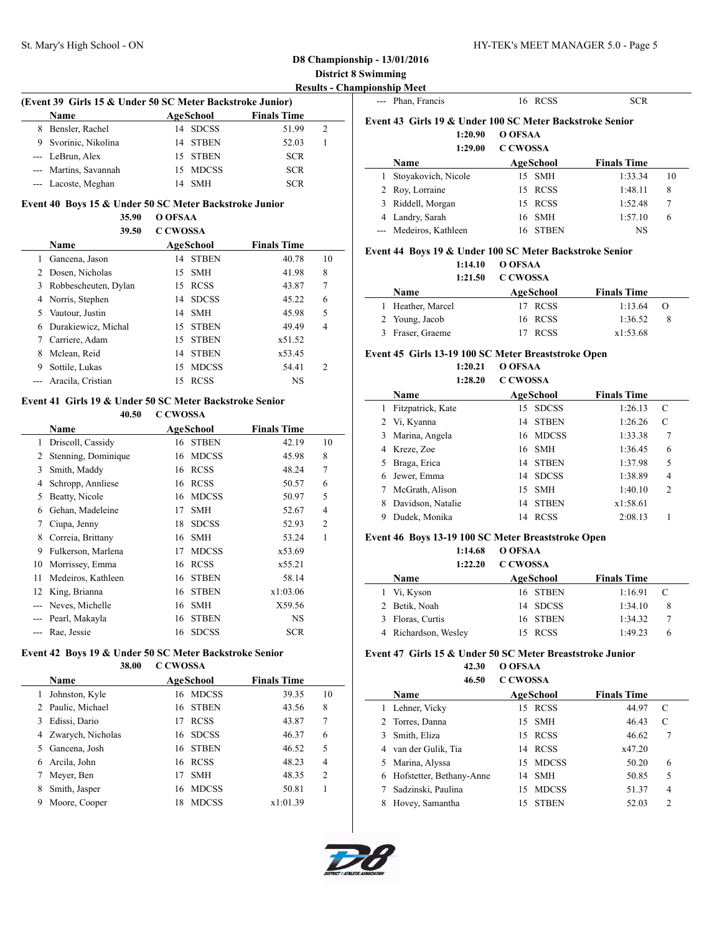$\sim$ 

 $\sim$ 

 $\overline{a}$ 

| (Event 39 Girls 15 & Under 50 SC Meter Backstroke Junior) |                       |    |            |                    |   |  |
|-----------------------------------------------------------|-----------------------|----|------------|--------------------|---|--|
|                                                           | <b>Name</b>           |    | AgeSchool  | <b>Finals Time</b> |   |  |
| 8                                                         | Bensler, Rachel       |    | 14 SDCSS   | 51.99              | 2 |  |
| 9                                                         | Svorinic, Nikolina    |    | 14 STBEN   | 52.03              |   |  |
|                                                           | --- LeBrun, Alex      |    | 15 STBEN   | <b>SCR</b>         |   |  |
|                                                           | --- Martins, Savannah |    | 15 MDCSS   | <b>SCR</b>         |   |  |
|                                                           | --- Lacoste, Meghan   | 14 | <b>SMH</b> | <b>SCR</b>         |   |  |

#### **Event 40 Boys 15 & Under 50 SC Meter Backstroke Junior**

**35.90 O OFSAA 39.50 C CWOSSA**

|    | 3Y.SU                | C CWOSSA |              |                    |    |  |
|----|----------------------|----------|--------------|--------------------|----|--|
|    | Name                 |          | AgeSchool    | <b>Finals Time</b> |    |  |
|    | Gancena, Jason       |          | 14 STBEN     | 40.78              | 10 |  |
| 2  | Dosen, Nicholas      |          | 15 SMH       | 41.98              | 8  |  |
| 3  | Robbescheuten, Dylan |          | 15 RCSS      | 43.87              | 7  |  |
|    | 4 Norris, Stephen    |          | 14 SDCSS     | 45.22              | 6  |  |
| 5. | Vautour, Justin      |          | 14 SMH       | 45.98              | 5  |  |
| 6  | Durakiewicz, Michal  |          | 15 STBEN     | 49.49              | 4  |  |
|    | Carriere, Adam       |          | 15 STBEN     | x51.52             |    |  |
| 8  | Mclean, Reid         | 14       | <b>STBEN</b> | x53.45             |    |  |
| 9  | Sottile, Lukas       | 15       | <b>MDCSS</b> | 54.41              | 2  |  |
|    | Aracila, Cristian    | 15       | <b>RCSS</b>  | NS                 |    |  |
|    |                      |          |              |                    |    |  |

### **Event 41 Girls 19 & Under 50 SC Meter Backstroke Senior**

### **40.50 C CWOSSA**

|              | Name                |    | AgeSchool    | <b>Finals Time</b> |                |
|--------------|---------------------|----|--------------|--------------------|----------------|
| $\mathbf{1}$ | Driscoll, Cassidy   | 16 | <b>STBEN</b> | 42.19              | 10             |
| 2            | Stenning, Dominique | 16 | <b>MDCSS</b> | 45.98              | 8              |
| 3            | Smith, Maddy        | 16 | <b>RCSS</b>  | 48.24              | 7              |
| 4            | Schropp, Annliese   |    | 16 RCSS      | 50.57              | 6              |
| 5            | Beatty, Nicole      | 16 | <b>MDCSS</b> | 50.97              | 5              |
| 6            | Gehan, Madeleine    | 17 | <b>SMH</b>   | 52.67              | 4              |
| 7            | Ciupa, Jenny        | 18 | <b>SDCSS</b> | 52.93              | $\overline{2}$ |
| 8            | Correia, Brittany   | 16 | <b>SMH</b>   | 53.24              | 1              |
| 9            | Fulkerson, Marlena  | 17 | <b>MDCSS</b> | x53.69             |                |
| 10           | Morrissey, Emma     | 16 | <b>RCSS</b>  | x55.21             |                |
| 11           | Medeiros, Kathleen  | 16 | <b>STBEN</b> | 58.14              |                |
| 12           | King, Brianna       | 16 | <b>STBEN</b> | x1:03.06           |                |
|              | Neves, Michelle     | 16 | <b>SMH</b>   | X59.56             |                |
|              | Pearl, Makayla      | 16 | <b>STBEN</b> | NS                 |                |
|              | Rae, Jessie         | 16 | <b>SDCSS</b> | <b>SCR</b>         |                |

#### **Event 42 Boys 19 & Under 50 SC Meter Backstroke Senior 38.00 C CWOSSA**

|   | <b>Name</b>       |    | AgeSchool    | <b>Finals Time</b> |                |
|---|-------------------|----|--------------|--------------------|----------------|
| 1 | Johnston, Kyle    | 16 | MDCSS        | 39.35              | 10             |
| 2 | Paulic, Michael   | 16 | <b>STBEN</b> | 43.56              | 8              |
| 3 | Edissi, Dario     | 17 | <b>RCSS</b>  | 43.87              | 7              |
| 4 | Zwarych, Nicholas | 16 | <b>SDCSS</b> | 46.37              | 6              |
| 5 | Gancena, Josh     | 16 | <b>STBEN</b> | 46.52              | 5              |
| 6 | Arcila, John      |    | 16 RCSS      | 48.23              | $\overline{4}$ |
|   | Meyer, Ben        | 17 | <b>SMH</b>   | 48.35              | $\overline{2}$ |
| 8 | Smith, Jasper     | 16 | <b>MDCSS</b> | 50.81              |                |
| 9 | Moore, Cooper     | 18 | <b>MDCSS</b> | x1:01.39           |                |
|   |                   |    |              |                    |                |

|   | --- Phan, Francis                                        | <b>RCSS</b><br>16  | <b>SCR</b>         |    |
|---|----------------------------------------------------------|--------------------|--------------------|----|
|   | Event 43 Girls 19 & Under 100 SC Meter Backstroke Senior |                    |                    |    |
|   | 1:20.90                                                  | O OFSAA            |                    |    |
|   | 1:29.00                                                  | <b>C CWOSSA</b>    |                    |    |
|   | Name                                                     | <b>AgeSchool</b>   | <b>Finals Time</b> |    |
|   | Stoyakovich, Nicole                                      | <b>SMH</b><br>15   | 1:33.34            | 10 |
|   | 2 Roy, Lorraine                                          | <b>RCSS</b><br>15  | 1:48.11            | 8  |
| 3 | Riddell, Morgan                                          | <b>RCSS</b><br>15  | 1:52.48            | 7  |
| 4 | Landry, Sarah                                            | <b>SMH</b><br>16   | 1:57.10            | 6  |
|   | --- Medeiros, Kathleen                                   | <b>STBEN</b><br>16 | <b>NS</b>          |    |

#### **Event 44 Boys 19 & Under 100 SC Meter Backstroke Senior 1:14.10 O OFSAA**

## **1:21.50 C CWOSSA**

| .                 | $\sim$ $\sim$ $\sim$ $\sim$ $\sim$ $\sim$ $\sim$ |                    |                  |
|-------------------|--------------------------------------------------|--------------------|------------------|
| <b>Name</b>       | AgeSchool                                        | <b>Finals Time</b> |                  |
| 1 Heather, Marcel | 17 RCSS                                          | 1:13.64            | $\left( \right)$ |
| 2 Young, Jacob    | 16 RCSS                                          | 1:36.52            |                  |
| 3 Fraser, Graeme  | <b>RCSS</b>                                      | x1:53.68           |                  |

#### **Event 45 Girls 13-19 100 SC Meter Breaststroke Open**

**1:20.21 O OFSAA 1:28.20 C CWOSSA**

|    | Name              |    | AgeSchool    | <b>Finals Time</b> |                |
|----|-------------------|----|--------------|--------------------|----------------|
|    | Fitzpatrick, Kate |    | 15 SDCSS     | 1:26.13            | C              |
| 2  | Vi, Kyanna        | 14 | <b>STBEN</b> | 1:26.26            | C              |
| 3  | Marina, Angela    | 16 | MDCSS        | 1:33.38            | 7              |
| 4  | Kreze, Zoe        |    | 16 SMH       | 1:36.45            | 6              |
| 5. | Braga, Erica      | 14 | <b>STBEN</b> | 1:37.98            | 5              |
| 6  | Jewer, Emma       | 14 | <b>SDCSS</b> | 1:38.89            | 4              |
|    | McGrath, Alison   |    | 15 SMH       | 1:40.10            | $\overline{c}$ |
| 8  | Davidson, Natalie | 14 | <b>STBEN</b> | x1:58.61           |                |
| 9  | Dudek, Monika     | 14 | <b>RCSS</b>  | 2:08.13            |                |

#### **Event 46 Boys 13-19 100 SC Meter Breaststroke Open**

| 1:14.68 | O OFSAA |  |
|---------|---------|--|
|         |         |  |

|   | 1:22.20              | C CWOSSA  |                    |   |
|---|----------------------|-----------|--------------------|---|
|   | <b>Name</b>          | AgeSchool | <b>Finals Time</b> |   |
|   | 1 Vi, Kyson          | 16 STBEN  | 1:16.91            | C |
|   | 2 Betik, Noah        | 14 SDCSS  | 1:34.10            | 8 |
| 3 | Floras, Curtis       | 16 STBEN  | 1:34.32            |   |
|   | 4 Richardson, Wesley | 15 RCSS   | 1:49.23            | h |

#### **Event 47 Girls 15 & Under 50 SC Meter Breaststroke Junior**

**42.30 O OFSAA**

|   | 46.50                    | <b>C CWOSSA</b> |              |                    |                |  |
|---|--------------------------|-----------------|--------------|--------------------|----------------|--|
|   | Name                     |                 | AgeSchool    | <b>Finals Time</b> |                |  |
|   | Lehner, Vicky            |                 | 15 RCSS      | 44.97              | C              |  |
|   | 2 Torres, Danna          |                 | 15 SMH       | 46.43              | C              |  |
|   | Smith, Eliza             |                 | 15 RCSS      | 46.62              | 7              |  |
|   | van der Gulik, Tia       |                 | 14 RCSS      | x47.20             |                |  |
| 5 | Marina, Alyssa           |                 | 15 MDCSS     | 50.20              | 6              |  |
| 6 | Hofstetter, Bethany-Anne |                 | 14 SMH       | 50.85              | 5              |  |
|   | Sadzinski, Paulina       | 15.             | <b>MDCSS</b> | 51.37              | $\overline{4}$ |  |
|   | Hovey, Samantha          | 15              | <b>STBEN</b> | 52.03              | $\overline{c}$ |  |

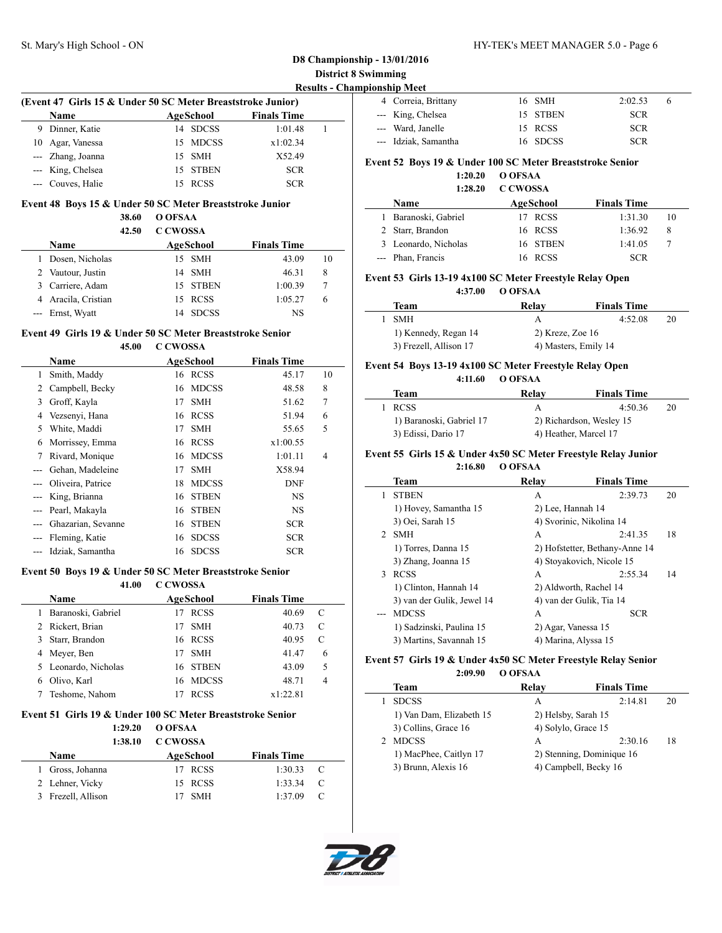# St. Mary's High School - ON HY-TEK's MEET MANAGER 5.0 - Page 6

## **D8 Championship - 13/01/2016 District 8 Swimming**

**Results - Championship Meet**

| 4 Correia, Brittany  | 16 SMH   | 2:02.53<br>o |
|----------------------|----------|--------------|
| --- King, Chelsea    | 15 STBEN | <b>SCR</b>   |
| --- Ward, Janelle    | 15 RCSS  | <b>SCR</b>   |
| --- Idziak, Samantha | 16 SDCSS | <b>SCR</b>   |

#### **Event 52 Boys 19 & Under 100 SC Meter Breaststroke Senior**

#### **1:20.20 O OFSAA 1:28.20 C CWOSSA**

| .<br>. |                      |           |                    |    |  |
|--------|----------------------|-----------|--------------------|----|--|
|        | <b>Name</b>          | AgeSchool | <b>Finals Time</b> |    |  |
|        | Baranoski, Gabriel   | 17 RCSS   | 1:31.30            | 10 |  |
|        | 2 Starr, Brandon     | 16 RCSS   | 1:36.92            | 8  |  |
|        | 3 Leonardo, Nicholas | 16 STBEN  | 1:41.05            |    |  |
|        | --- Phan, Francis    | 16 RCSS   | SCR                |    |  |

#### **Event 53 Girls 13-19 4x100 SC Meter Freestyle Relay Open**

**4:37.00 O OFSAA**

| Team                   | Relav                | <b>Finals Time</b> |    |
|------------------------|----------------------|--------------------|----|
| <b>SMH</b>             |                      | 4:52.08            | 20 |
| 1) Kennedy, Regan 14   | $2)$ Kreze, Zoe 16   |                    |    |
| 3) Frezell, Allison 17 | 4) Masters, Emily 14 |                    |    |

#### **Event 54 Boys 13-19 4x100 SC Meter Freestyle Relay Open**

**4:11.60 O OFSAA**

| Team                     | Relav | <b>Finals Time</b>       |    |
|--------------------------|-------|--------------------------|----|
| <b>RCSS</b>              |       | 4.5036                   | 20 |
| 1) Baranoski, Gabriel 17 |       | 2) Richardson, Wesley 15 |    |
| 3) Edissi, Dario 17      |       | 4) Heather, Marcel 17    |    |

#### **Event 55 Girls 15 & Under 4x50 SC Meter Freestyle Relay Junior**

**2:16.80 O OFSAA**

|   | Team                       | Relav                     | <b>Finals Time</b>             |    |
|---|----------------------------|---------------------------|--------------------------------|----|
| 1 | <b>STBEN</b>               | А                         | 2:39.73                        | 20 |
|   | 1) Hovey, Samantha 15      | 2) Lee, Hannah 14         |                                |    |
|   | 3) Oei, Sarah 15           | 4) Svorinic, Nikolina 14  |                                |    |
|   | 2 SMH                      | A                         | 2:41.35                        | 18 |
|   | 1) Torres, Danna 15        |                           | 2) Hofstetter, Bethany-Anne 14 |    |
|   | 3) Zhang, Joanna 15        | 4) Stovakovich, Nicole 15 |                                |    |
| 3 | <b>RCSS</b>                | A                         | 2:55.34                        | 14 |
|   | 1) Clinton, Hannah 14      | 2) Aldworth, Rachel 14    |                                |    |
|   | 3) van der Gulik, Jewel 14 | 4) van der Gulik, Tia 14  |                                |    |
|   | <b>MDCSS</b>               | A                         | <b>SCR</b>                     |    |
|   | 1) Sadzinski, Paulina 15   | 2) Agar, Vanessa 15       |                                |    |
|   | 3) Martins, Savannah 15    | 4) Marina, Alyssa 15      |                                |    |
|   |                            |                           |                                |    |

#### **Event 57 Girls 19 & Under 4x50 SC Meter Freestyle Relay Senior 2:09.90 O OFSAA**

| Team                     | Relay                     | <b>Finals Time</b> |    |
|--------------------------|---------------------------|--------------------|----|
| <b>SDCSS</b>             | A                         | 2:14.81            | 20 |
| 1) Van Dam, Elizabeth 15 | 2) Helsby, Sarah 15       |                    |    |
| 3) Collins, Grace 16     | 4) Solylo, Grace 15       |                    |    |
| <b>MDCSS</b>             | A                         | 2:30.16            | 18 |
| 1) MacPhee, Caitlyn 17   | 2) Stenning, Dominique 16 |                    |    |
| 3) Brunn, Alexis 16      | 4) Campbell, Becky 16     |                    |    |



 $\sim$ 

# **Event 48 Boys 15 & Under 50 SC Meter Breaststroke Junior**

**(Event 47 Girls 15 & Under 50 SC Meter Breaststroke Junior) Name Age School Finals Time** 9 Dinner, Katie 14 SDCSS 1:01.48 1 10 Agar, Vanessa 15 MDCSS x1:02.34 --- Zhang, Joanna 15 SMH X52.49 --- King, Chelsea 15 STBEN SCR --- Couves, Halie 15 RCSS SCR

**38.60 O OFSAA**

| 42.50               | <b>C CWOSSA</b>    |                    |    |
|---------------------|--------------------|--------------------|----|
| Name                | AgeSchool          | <b>Finals Time</b> |    |
| Dosen, Nicholas     | 15 SMH             | 43.09              | 10 |
| 2 Vautour, Justin   | 14 SMH             | 46.31              | 8  |
| 3 Carriere, Adam    | 15 STBEN           | 1:00.39            |    |
| 4 Aracila, Cristian | 15 RCSS            | 1:05.27            | 6  |
| --- Ernst, Wyatt    | <b>SDCSS</b><br>14 | <b>NS</b>          |    |

#### **Event 49 Girls 19 & Under 50 SC Meter Breaststroke Senior 45.00 C CWOSSA**

|   | Name               |    | AgeSchool    | <b>Finals Time</b> |    |
|---|--------------------|----|--------------|--------------------|----|
| 1 | Smith, Maddy       |    | 16 RCSS      | 45.17              | 10 |
| 2 | Campbell, Becky    | 16 | <b>MDCSS</b> | 48.58              | 8  |
| 3 | Groff, Kayla       | 17 | <b>SMH</b>   | 51.62              | 7  |
| 4 | Vezsenyi, Hana     | 16 | <b>RCSS</b>  | 51.94              | 6  |
| 5 | White, Maddi       | 17 | <b>SMH</b>   | 55.65              | 5  |
| 6 | Morrissey, Emma    | 16 | <b>RCSS</b>  | x1:00.55           |    |
| 7 | Rivard, Monique    | 16 | <b>MDCSS</b> | 1:01.11            | 4  |
|   | Gehan, Madeleine   | 17 | <b>SMH</b>   | X58.94             |    |
|   | Oliveira, Patrice  | 18 | <b>MDCSS</b> | <b>DNF</b>         |    |
|   | King, Brianna      | 16 | <b>STBEN</b> | <b>NS</b>          |    |
|   | Pearl, Makayla     | 16 | <b>STBEN</b> | <b>NS</b>          |    |
|   | Ghazarian, Sevanne | 16 | <b>STBEN</b> | <b>SCR</b>         |    |
|   | Fleming, Katie     | 16 | <b>SDCSS</b> | <b>SCR</b>         |    |
|   | Idziak, Samantha   | 16 | <b>SDCSS</b> | <b>SCR</b>         |    |

## **Event 50 Boys 19 & Under 50 SC Meter Breaststroke Senior**

**41.00 C CWOSSA**

| <b>Name</b>          | AgeSchool        | <b>Finals Time</b> |   |
|----------------------|------------------|--------------------|---|
| Baranoski, Gabriel   | <b>RCSS</b>      | 40.69              | C |
| Rickert, Brian       | <b>SMH</b>       | 40.73              | C |
| Starr, Brandon       | 16 RCSS          | 40.95              | C |
| Meyer, Ben           | <b>SMH</b><br>17 | 41.47              | 6 |
| 5 Leonardo, Nicholas | 16 STBEN         | 43.09              | 5 |
| Olivo, Karl          | 16 MDCSS         | 48.71              | 4 |
| Teshome, Nahom       | <b>RCSS</b>      | x1:22.81           |   |

#### **Event 51 Girls 19 & Under 100 SC Meter Breaststroke Senior**

| O OFSAA            |                    |               |
|--------------------|--------------------|---------------|
| C CWOSSA           |                    |               |
| AgeSchool          | <b>Finals Time</b> |               |
| <b>RCSS</b><br>17. | 1:30.33            | $\mathbf{C}$  |
| 15 RCSS            | 1:33.34            | $\mathcal{C}$ |
| <b>SMH</b>         | 1:37.09            |               |
|                    | 1:29.20<br>1:38.10 |               |